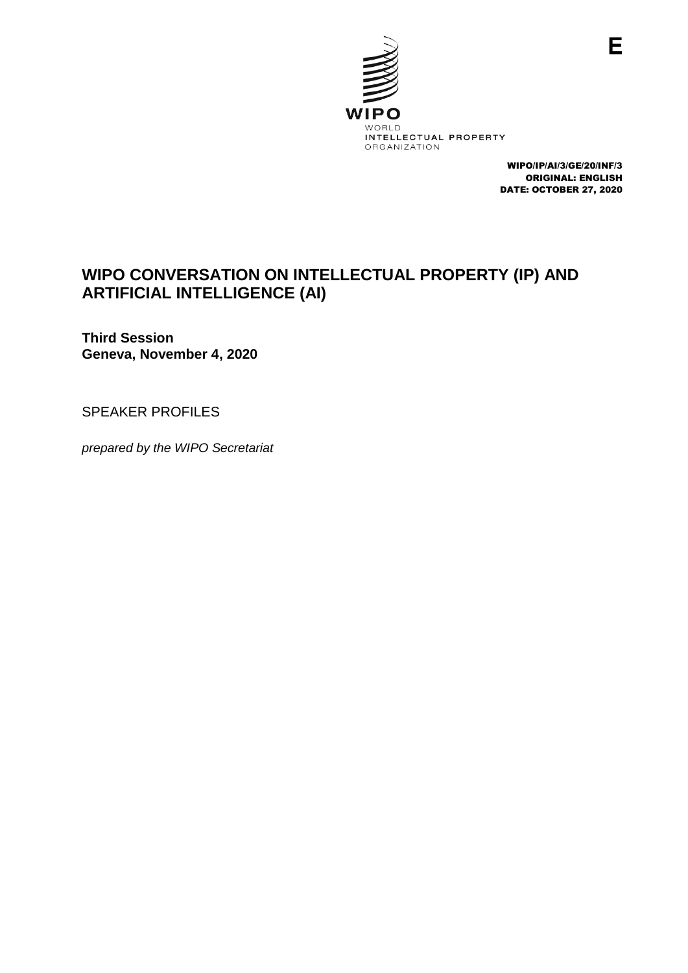

WIPO/IP/AI/3/GE/20/INF/3 ORIGINAL: ENGLISH DATE: OCTOBER 27, 2020

# **WIPO CONVERSATION ON INTELLECTUAL PROPERTY (IP) AND ARTIFICIAL INTELLIGENCE (AI)**

**Third Session Geneva, November 4, 2020**

SPEAKER PROFILES

*prepared by the WIPO Secretariat*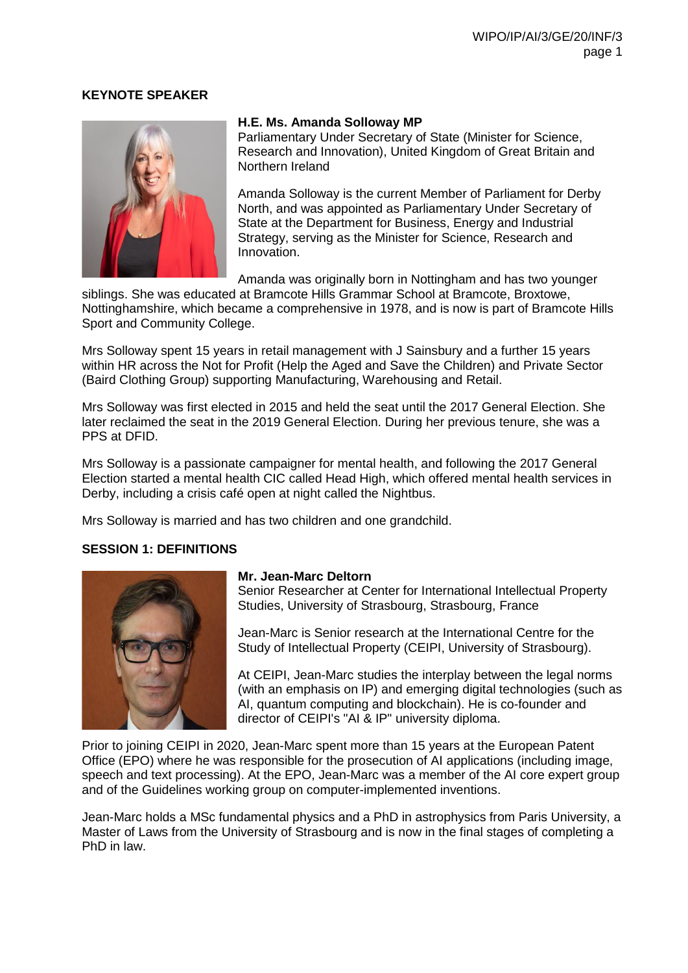# **KEYNOTE SPEAKER**



#### **H.E. Ms. Amanda Solloway MP**

Parliamentary Under Secretary of State (Minister for Science, Research and Innovation), United Kingdom of Great Britain and Northern Ireland

Amanda Solloway is the current Member of Parliament for Derby North, and was appointed as Parliamentary Under Secretary of State at the Department for Business, Energy and Industrial Strategy, serving as the Minister for Science, Research and Innovation.

Amanda was originally born in Nottingham and has two younger

siblings. She was educated at Bramcote Hills Grammar School at Bramcote, Broxtowe, Nottinghamshire, which became a comprehensive in 1978, and is now is part of Bramcote Hills Sport and Community College.

Mrs Solloway spent 15 years in retail management with J Sainsbury and a further 15 years within HR across the Not for Profit (Help the Aged and Save the Children) and Private Sector (Baird Clothing Group) supporting Manufacturing, Warehousing and Retail.

Mrs Solloway was first elected in 2015 and held the seat until the 2017 General Election. She later reclaimed the seat in the 2019 General Election. During her previous tenure, she was a PPS at DFID.

Mrs Solloway is a passionate campaigner for mental health, and following the 2017 General Election started a mental health CIC called Head High, which offered mental health services in Derby, including a crisis café open at night called the Nightbus.

Mrs Solloway is married and has two children and one grandchild.

# **SESSION 1: DEFINITIONS**



# **Mr. Jean-Marc Deltorn**

Senior Researcher at Center for International Intellectual Property Studies, University of Strasbourg, Strasbourg, France

Jean-Marc is Senior research at the International Centre for the Study of Intellectual Property (CEIPI, University of Strasbourg).

At CEIPI, Jean-Marc studies the interplay between the legal norms (with an emphasis on IP) and emerging digital technologies (such as AI, quantum computing and blockchain). He is co-founder and director of CEIPI's "AI & IP" university diploma.

Prior to joining CEIPI in 2020, Jean-Marc spent more than 15 years at the European Patent Office (EPO) where he was responsible for the prosecution of AI applications (including image, speech and text processing). At the EPO, Jean-Marc was a member of the AI core expert group and of the Guidelines working group on computer-implemented inventions.

Jean-Marc holds a MSc fundamental physics and a PhD in astrophysics from Paris University, a Master of Laws from the University of Strasbourg and is now in the final stages of completing a PhD in law.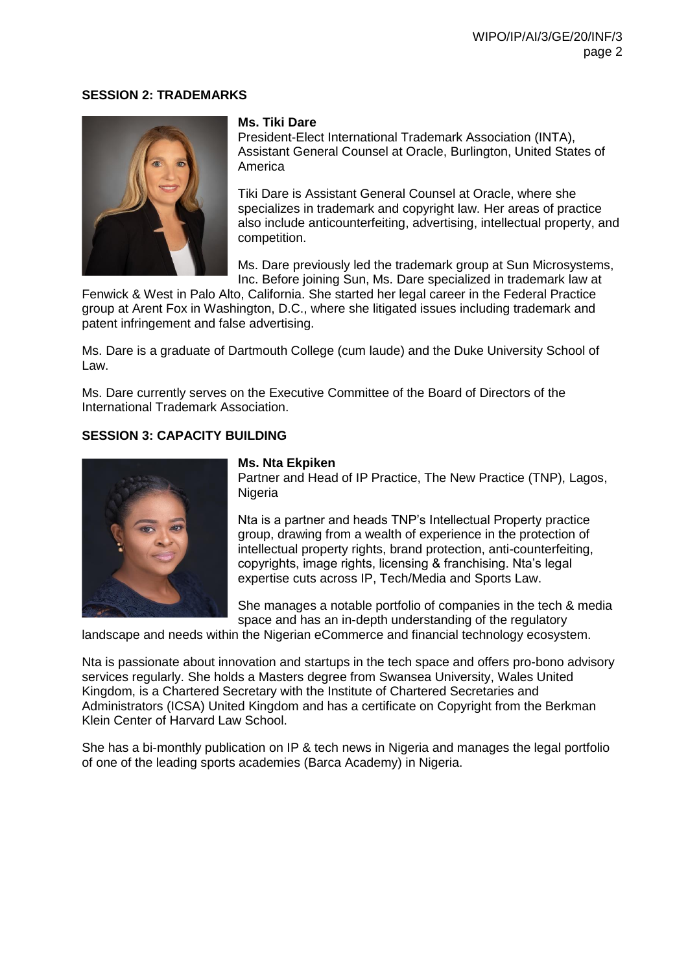#### **SESSION 2: TRADEMARKS**



# **Ms. Tiki Dare**

President-Elect International Trademark Association (INTA), Assistant General Counsel at Oracle, Burlington, United States of America

Tiki Dare is Assistant General Counsel at Oracle, where she specializes in trademark and copyright law. Her areas of practice also include anticounterfeiting, advertising, intellectual property, and competition.

Ms. Dare previously led the trademark group at Sun Microsystems, Inc. Before joining Sun, Ms. Dare specialized in trademark law at

Fenwick & West in Palo Alto, California. She started her legal career in the Federal Practice group at Arent Fox in Washington, D.C., where she litigated issues including trademark and patent infringement and false advertising.

Ms. Dare is a graduate of Dartmouth College (cum laude) and the Duke University School of Law.

Ms. Dare currently serves on the Executive Committee of the Board of Directors of the International Trademark Association.

# **SESSION 3: CAPACITY BUILDING**



#### **Ms. Nta Ekpiken**

Partner and Head of IP Practice, The New Practice (TNP), Lagos, **Nigeria** 

Nta is a partner and heads TNP's Intellectual Property practice group, drawing from a wealth of experience in the protection of intellectual property rights, brand protection, anti-counterfeiting, copyrights, image rights, licensing & franchising. Nta's legal expertise cuts across IP, Tech/Media and Sports Law.

She manages a notable portfolio of companies in the tech & media space and has an in-depth understanding of the regulatory

landscape and needs within the Nigerian eCommerce and financial technology ecosystem.

Nta is passionate about innovation and startups in the tech space and offers pro-bono advisory services regularly. She holds a Masters degree from Swansea University, Wales United Kingdom, is a Chartered Secretary with the Institute of Chartered Secretaries and Administrators (ICSA) United Kingdom and has a certificate on Copyright from the Berkman Klein Center of Harvard Law School.

She has a bi-monthly publication on IP & tech news in Nigeria and manages the legal portfolio of one of the leading sports academies (Barca Academy) in Nigeria.